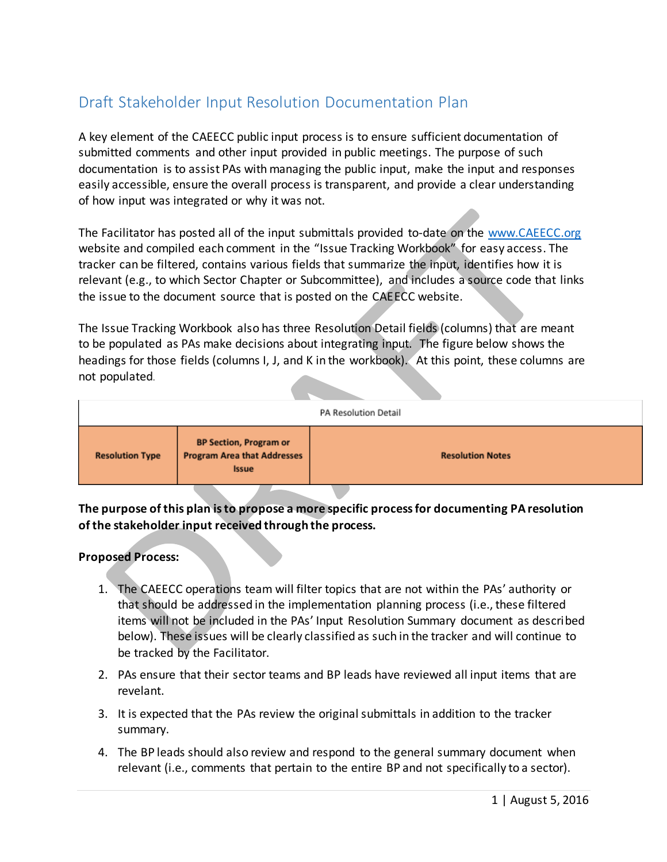## Draft Stakeholder Input Resolution Documentation Plan

A key element of the CAEECC public input process is to ensure sufficient documentation of submitted comments and other input provided in public meetings. The purpose of such documentation is to assist PAs with managing the public input, make the input and responses easily accessible, ensure the overall process is transparent, and provide a clear understanding of how input was integrated or why it was not.

The Facilitator has posted all of the input submittals provided to-date on the [www.CAEECC.org](http://www.caeecc.org/) website and compiled each comment in the "Issue Tracking Workbook" for easy access. The tracker can be filtered, contains various fields that summarize the input, identifies how it is relevant (e.g., to which Sector Chapter or Subcommittee), and includes a source code that links the issue to the document source that is posted on the CAEECC website.

The Issue Tracking Workbook also has three Resolution Detail fields (columns) that are meant to be populated as PAs make decisions about integrating input. The figure below shows the headings for those fields (columns I, J, and K in the workbook). At this point, these columns are not populated.

| <b>PA Resolution Detail</b> |                                                                                     |                         |
|-----------------------------|-------------------------------------------------------------------------------------|-------------------------|
| <b>Resolution Type</b>      | <b>BP Section, Program or</b><br><b>Program Area that Addresses</b><br><b>Issue</b> | <b>Resolution Notes</b> |
|                             |                                                                                     |                         |

**The purpose of this plan is to propose a more specific process for documenting PA resolution of the stakeholder input received through the process.** 

## **Proposed Process:**

- 1. The CAEECC operations team will filter topics that are not within the PAs' authority or that should be addressed in the implementation planning process (i.e., these filtered items will not be included in the PAs' Input Resolution Summary document as described below). These issues will be clearly classified as such in the tracker and will continue to be tracked by the Facilitator.
- 2. PAs ensure that their sector teams and BP leads have reviewed all input items that are revelant.
- 3. It is expected that the PAs review the original submittals in addition to the tracker summary.
- 4. The BP leads should also review and respond to the general summary document when relevant (i.e., comments that pertain to the entire BP and not specifically to a sector).